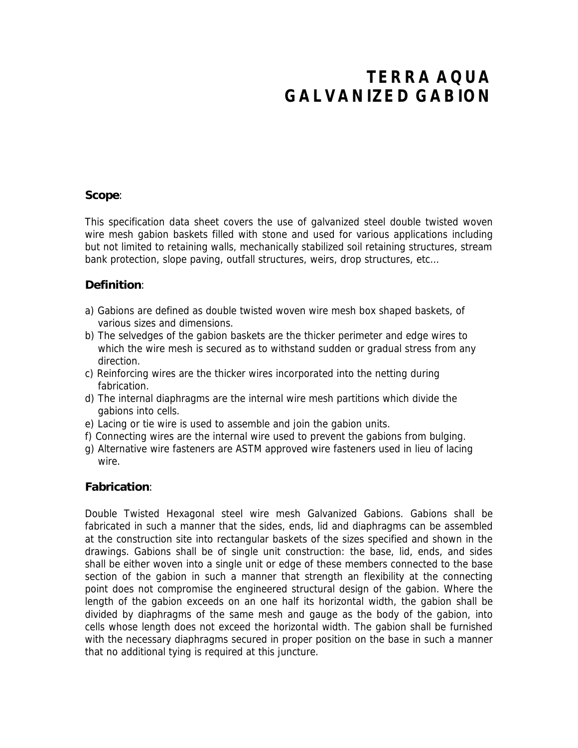# **TERRA AQUA GALVANIZED GABION**

#### **Scope**:

This specification data sheet covers the use of galvanized steel double twisted woven wire mesh gabion baskets filled with stone and used for various applications including but not limited to retaining walls, mechanically stabilized soil retaining structures, stream bank protection, slope paving, outfall structures, weirs, drop structures, etc…

#### **Definition**:

- a) Gabions are defined as double twisted woven wire mesh box shaped baskets, of various sizes and dimensions.
- b) The selvedges of the gabion baskets are the thicker perimeter and edge wires to which the wire mesh is secured as to withstand sudden or gradual stress from any direction.
- c) Reinforcing wires are the thicker wires incorporated into the netting during fabrication.
- d) The internal diaphragms are the internal wire mesh partitions which divide the gabions into cells.
- e) Lacing or tie wire is used to assemble and join the gabion units.
- f) Connecting wires are the internal wire used to prevent the gabions from bulging.
- g) Alternative wire fasteners are ASTM approved wire fasteners used in lieu of lacing wire.

#### **Fabrication**:

Double Twisted Hexagonal steel wire mesh Galvanized Gabions. Gabions shall be fabricated in such a manner that the sides, ends, lid and diaphragms can be assembled at the construction site into rectangular baskets of the sizes specified and shown in the drawings. Gabions shall be of single unit construction: the base, lid, ends, and sides shall be either woven into a single unit or edge of these members connected to the base section of the gabion in such a manner that strength an flexibility at the connecting point does not compromise the engineered structural design of the gabion. Where the length of the gabion exceeds on an one half its horizontal width, the gabion shall be divided by diaphragms of the same mesh and gauge as the body of the gabion, into cells whose length does not exceed the horizontal width. The gabion shall be furnished with the necessary diaphragms secured in proper position on the base in such a manner that no additional tying is required at this juncture.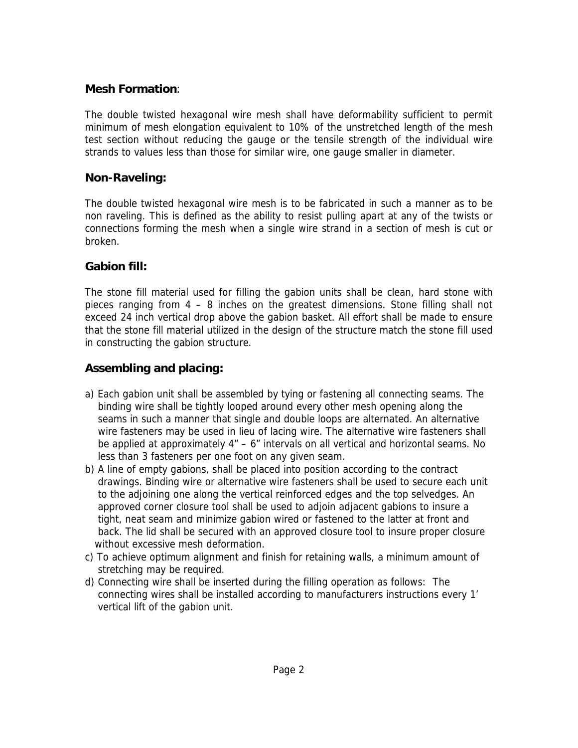#### **Mesh Formation**:

The double twisted hexagonal wire mesh shall have deformability sufficient to permit minimum of mesh elongation equivalent to 10% of the unstretched length of the mesh test section without reducing the gauge or the tensile strength of the individual wire strands to values less than those for similar wire, one gauge smaller in diameter.

## **Non-Raveling:**

The double twisted hexagonal wire mesh is to be fabricated in such a manner as to be non raveling. This is defined as the ability to resist pulling apart at any of the twists or connections forming the mesh when a single wire strand in a section of mesh is cut or broken.

## **Gabion fill:**

The stone fill material used for filling the gabion units shall be clean, hard stone with pieces ranging from 4 – 8 inches on the greatest dimensions. Stone filling shall not exceed 24 inch vertical drop above the gabion basket. All effort shall be made to ensure that the stone fill material utilized in the design of the structure match the stone fill used in constructing the gabion structure.

# **Assembling and placing:**

- a) Each gabion unit shall be assembled by tying or fastening all connecting seams. The binding wire shall be tightly looped around every other mesh opening along the seams in such a manner that single and double loops are alternated. An alternative wire fasteners may be used in lieu of lacing wire. The alternative wire fasteners shall be applied at approximately  $4" - 6"$  intervals on all vertical and horizontal seams. No less than 3 fasteners per one foot on any given seam.
- b) A line of empty gabions, shall be placed into position according to the contract drawings. Binding wire or alternative wire fasteners shall be used to secure each unit to the adjoining one along the vertical reinforced edges and the top selvedges. An approved corner closure tool shall be used to adjoin adjacent gabions to insure a tight, neat seam and minimize gabion wired or fastened to the latter at front and back. The lid shall be secured with an approved closure tool to insure proper closure without excessive mesh deformation.
- c) To achieve optimum alignment and finish for retaining walls, a minimum amount of stretching may be required.
- d) Connecting wire shall be inserted during the filling operation as follows: The connecting wires shall be installed according to manufacturers instructions every 1' vertical lift of the gabion unit.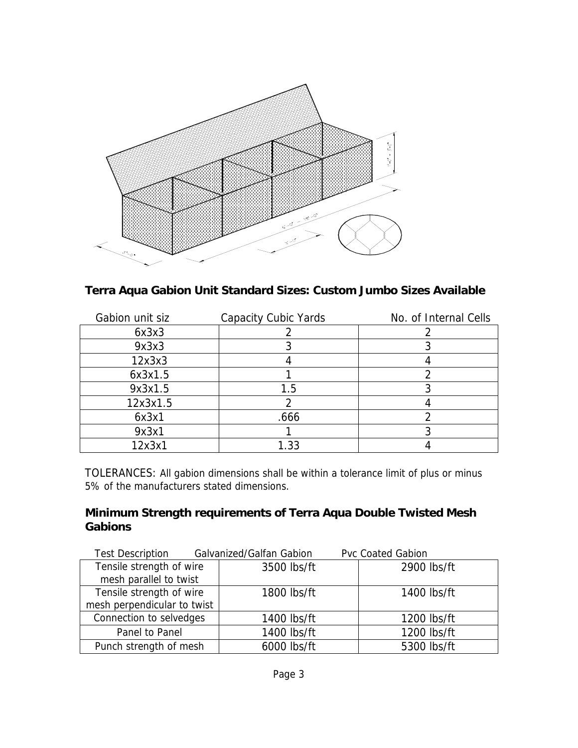

**Terra Aqua Gabion Unit Standard Sizes: Custom Jumbo Sizes Available**

| Gabion unit siz | <b>Capacity Cubic Yards</b> | <b>No. of Internal Cells</b> |
|-----------------|-----------------------------|------------------------------|
| 6x3x3           |                             |                              |
| 9x3x3           |                             |                              |
| 12x3x3          |                             |                              |
| 6x3x1.5         |                             |                              |
| 9x3x1.5         | 1.5                         |                              |
| 12x3x1.5        |                             |                              |
| 6x3x1           | .666                        |                              |
| 9x3x1           |                             |                              |
| 12x3x1          | 1.33                        |                              |

TOLERANCES: All gabion dimensions shall be within a tolerance limit of plus or minus 5% of the manufacturers stated dimensions.

## **Minimum Strength requirements of Terra Aqua Double Twisted Mesh Gabions**

| Test Description Galvanized/Galfan Gabion |               | <b>Pvc Coated Gabion</b> |
|-------------------------------------------|---------------|--------------------------|
| Tensile strength of wire                  | 3500 lbs/ft   | $2900$ lbs/ft            |
| mesh parallel to twist                    |               |                          |
| Tensile strength of wire                  | $1800$ lbs/ft | $1400$ lbs/ft            |
| mesh perpendicular to twist               |               |                          |
| <b>Connection to selvedges</b>            | $1400$ lbs/ft | $1200$ lbs/ft            |
| <b>Panel to Panel</b>                     | $1400$ lbs/ft | $1200$ lbs/ft            |
| Punch strength of mesh                    | 6000 lbs/ft   | 5300 lbs/ft              |